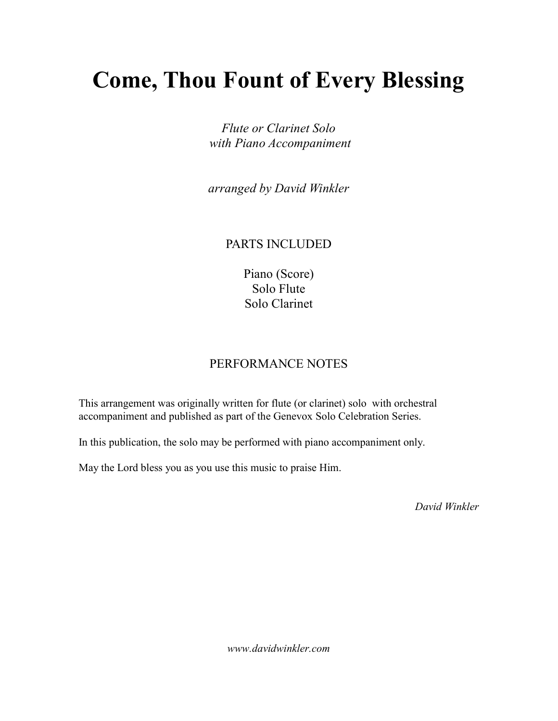## Come, Thou Fount of Every Blessing

Flute or Clarinet Solo with Piano Accompaniment

arranged by David Winkler

## PARTS INCLUDED

Piano (Score) Solo Flute Solo Clarinet

## PERFORMANCE NOTES

This arrangement was originally written for flute (or clarinet) solo with orchestral accompaniment and published as part of the Genevox Solo Celebration Series.

In this publication, the solo may be performed with piano accompaniment only.

May the Lord bless you as you use this music to praise Him.

David Winkler

www.davidwinkler.com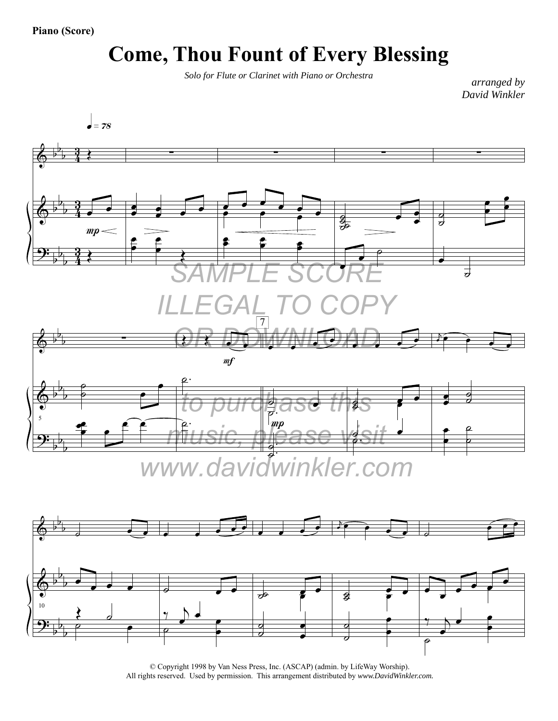## **Come, Thou Fount of Every Blessing**

*Solo for Flute or Clarinet with Piano or Orchestra*

*arranged by David Winkler*





<sup>©</sup> Copyright 1998 by Van Ness Press, Inc. (ASCAP) (admin. by LifeWay Worship). All rights reserved. Used by permission. This arrangement distributed by *www.DavidWinkler.com.*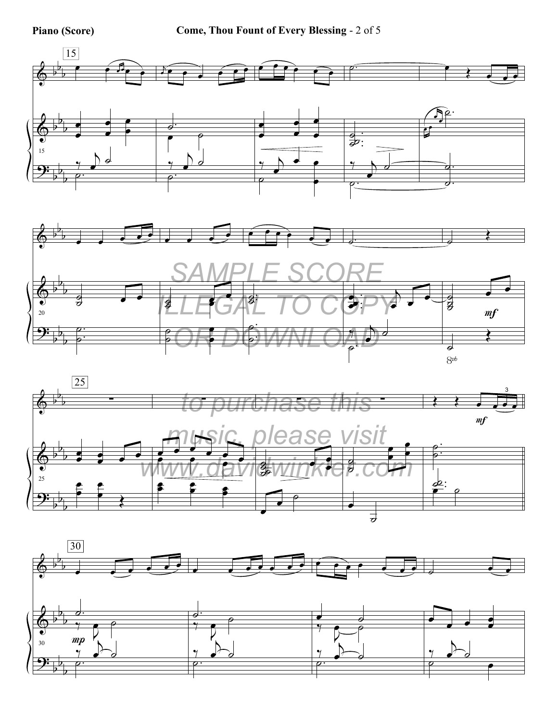





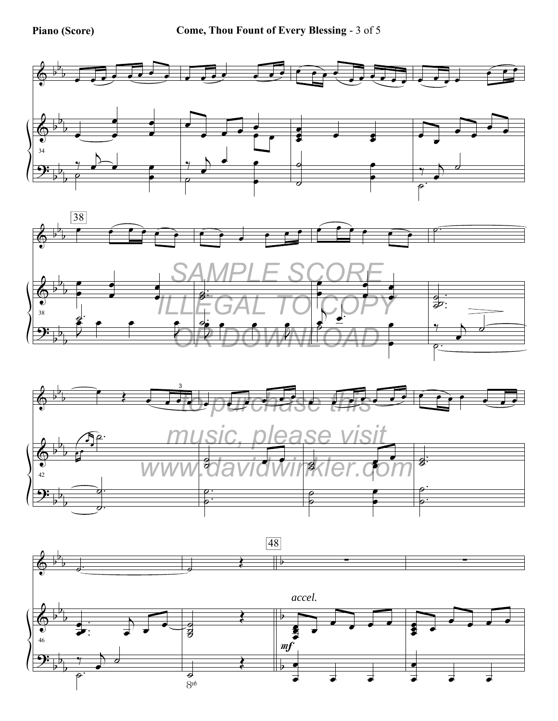





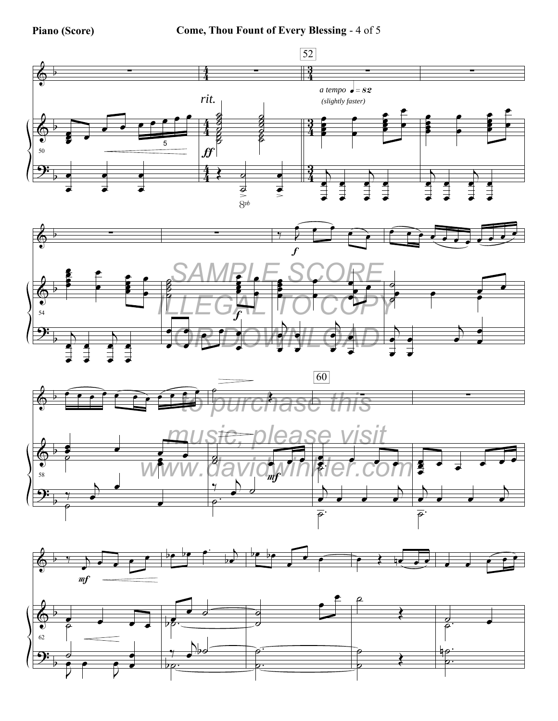**Piano (Score) Come, Thou Fount of Every Blessing** - 4 of 5